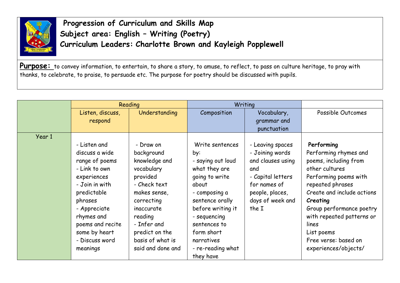

**Progression of Curriculum and Skills Map Subject area: English – Writing (Poetry) Curriculum Leaders: Charlotte Brown and Kayleigh Popplewell**

Purpose: to convey information, to entertain, to share a story, to amuse, to reflect, to pass on culture heritage, to pray with thanks, to celebrate, to praise, to persuade etc. The purpose for poetry should be discussed with pupils.

|        | Reading          |                   | Writing           |                   |                            |
|--------|------------------|-------------------|-------------------|-------------------|----------------------------|
|        | Listen, discuss, | Understanding     | Composition       | Vocabulary,       | Possible Outcomes          |
|        | respond          |                   |                   | grammar and       |                            |
|        |                  |                   |                   | punctuation       |                            |
| Year 1 |                  |                   |                   |                   |                            |
|        | - Listen and     | - Draw on         | Write sentences   | - Leaving spaces  | Performing                 |
|        | discuss a wide   | background        | by:               | - Joining words   | Performing rhymes and      |
|        | range of poems   | knowledge and     | - saying out loud | and clauses using | poems, including from      |
|        | - Link to own    | vocabulary        | what they are     | and               | other cultures             |
|        | experiences      | provided          | going to write    | - Capital letters | Performing poems with      |
|        | - Join in with   | - Check text      | about             | for names of      | repeated phrases           |
|        | predictable      | makes sense,      | - composing a     | people, places,   | Create and include actions |
|        | phrases          | correcting        | sentence orally   | days of week and  | Creating                   |
|        | - Appreciate     | inaccurate        | before writing it | the I             | Group performance poetry   |
|        | rhymes and       | reading           | - sequencing      |                   | with repeated patterns or  |
|        | poems and recite | - Infer and       | sentences to      |                   | lines                      |
|        | some by heart    | predict on the    | form short        |                   | List poems                 |
|        | - Discuss word   | basis of what is  | narratives        |                   | Free verse: based on       |
|        | meanings         | said and done and | - re-reading what |                   | experiences/objects/       |
|        |                  |                   | they have         |                   |                            |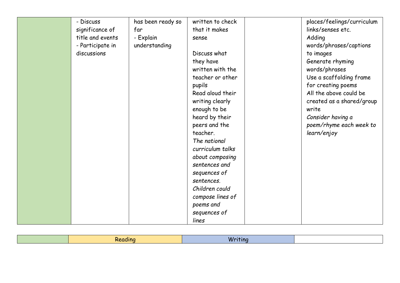| - Discuss        | has been ready so | written to check | places/feelings/curriculum |
|------------------|-------------------|------------------|----------------------------|
| significance of  | far               | that it makes    | links/senses etc.          |
| title and events | - Explain         | sense            | Adding                     |
| - Participate in | understanding     |                  | words/phrases/captions     |
| discussions      |                   | Discuss what     | to images                  |
|                  |                   | they have        | Generate rhyming           |
|                  |                   | written with the | words/phrases              |
|                  |                   | teacher or other | Use a scaffolding frame    |
|                  |                   | pupils           | for creating poems         |
|                  |                   | Read aloud their | All the above could be     |
|                  |                   | writing clearly  | created as a shared/group  |
|                  |                   | enough to be     | write                      |
|                  |                   | heard by their   | Consider having a          |
|                  |                   | peers and the    | poem/rhyme each week to    |
|                  |                   | teacher.         | learn/enjoy                |
|                  |                   | The national     |                            |
|                  |                   | curriculum talks |                            |
|                  |                   | about composing  |                            |
|                  |                   | sentences and    |                            |
|                  |                   | sequences of     |                            |
|                  |                   | sentences.       |                            |
|                  |                   | Children could   |                            |
|                  |                   | compose lines of |                            |
|                  |                   | poems and        |                            |
|                  |                   | sequences of     |                            |
|                  |                   | lines            |                            |

|  | the contract of the contract of the<br>. . |  |
|--|--------------------------------------------|--|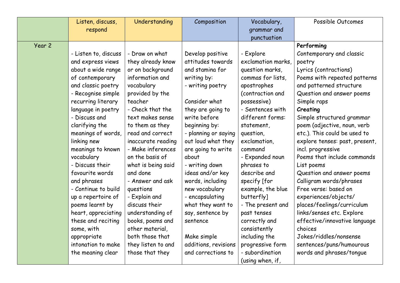|        | Listen, discuss,     | Understanding      | Composition          | Vocabulary,        | Possible Outcomes              |
|--------|----------------------|--------------------|----------------------|--------------------|--------------------------------|
|        | respond              |                    |                      | grammar and        |                                |
|        |                      |                    |                      | punctuation        |                                |
| Year 2 |                      |                    |                      |                    | Performing                     |
|        | - Listen to, discuss | - Draw on what     | Develop positive     | - Explore          | Contemporary and classic       |
|        | and express views    | they already know  | attitudes towards    | exclamation marks, | poetry                         |
|        | about a wide range   | or on background   | and stamina for      | question marks,    | Lyrics (contractions)          |
|        | of contemporary      | information and    | writing by:          | commas for lists,  | Poems with repeated patterns   |
|        | and classic poetry   | vocabulary         | - writing poetry     | apostrophes        | and patterned structure        |
|        | - Recognise simple   | provided by the    |                      | (contraction and   | Question and answer poems      |
|        | recurring literary   | teacher            | Consider what        | possessive)        | Simple raps                    |
|        | language in poetry   | - Check that the   | they are going to    | - Sentences with   | Creating                       |
|        | - Discuss and        | text makes sense   | write before         | different forms:   | Simple structured grammar      |
|        | clarifying the       | to them as they    | beginning by:        | statement,         | poem (adjective, noun, verb    |
|        | meanings of words,   | read and correct   | - planning or saying | question,          | etc.). This could be used to   |
|        | linking new          | inaccurate reading | out loud what they   | exclamation,       | explore tenses: past, present, |
|        | meanings to known    | - Make inferences  | are going to write   | command            | incl. progressive              |
|        | vocabulary           | on the basis of    | about                | - Expanded noun    | Poems that include commands    |
|        | - Discuss their      | what is being said | - writing down       | phrases to         | List poems                     |
|        | favourite words      | and done           | ideas and/or key     | describe and       | Question and answer poems      |
|        | and phrases          | - Answer and ask   | words, including     | specify [for       | Calligram words/phrases        |
|        | - Continue to build  | questions          | new vocabulary       | example, the blue  | Free verse: based on           |
|        | up a repertoire of   | - Explain and      | - encapsulating      | butterfly]         | experiences/objects/           |
|        | poems learnt by      | discuss their      | what they want to    | - The present and  | places/feelings/curriculum     |
|        | heart, appreciating  | understanding of   | say, sentence by     | past tenses        | links/senses etc. Explore      |
|        | these and reciting   | books, poems and   | sentence             | correctly and      | effective/innovative language  |
|        | some, with           | other material,    |                      | consistently       | choices                        |
|        | appropriate          | both those that    | Make simple          | including the      | Jokes/riddles/nonsense         |
|        | intonation to make   | they listen to and | additions, revisions | progressive form   | sentences/puns/humourous       |
|        | the meaning clear    | those that they    | and corrections to   | - subordination    | words and phrases/tongue       |
|        |                      |                    |                      | (using when, if,   |                                |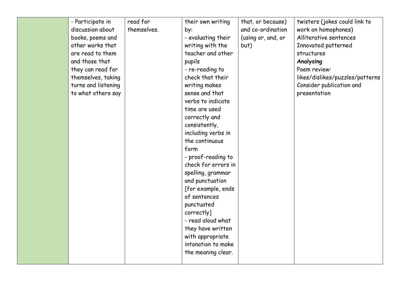| - Participate in    | read for    | their own writing   | that, or because)  | twisters (jokes could link to   |
|---------------------|-------------|---------------------|--------------------|---------------------------------|
| discussion about    | themselves. | by:                 | and co-ordination  | work on homophones)             |
| books, poems and    |             | - evaluating their  | (using or, and, or | Alliterative sentences          |
| other works that    |             | writing with the    | but)               | Innovated patterned             |
| are read to them    |             | teacher and other   |                    | structures                      |
| and those that      |             | pupils              |                    | Analysing                       |
| they can read for   |             | - re-reading to     |                    | Poem review:                    |
| themselves, taking  |             | check that their    |                    | likes/dislikes/puzzles/patterns |
| turns and listening |             | writing makes       |                    | Consider publication and        |
| to what others say  |             | sense and that      |                    | presentation                    |
|                     |             | verbs to indicate   |                    |                                 |
|                     |             | time are used       |                    |                                 |
|                     |             | correctly and       |                    |                                 |
|                     |             | consistently,       |                    |                                 |
|                     |             | including verbs in  |                    |                                 |
|                     |             | the continuous      |                    |                                 |
|                     |             | form                |                    |                                 |
|                     |             | - proof-reading to  |                    |                                 |
|                     |             | check for errors in |                    |                                 |
|                     |             | spelling, grammar   |                    |                                 |
|                     |             | and punctuation     |                    |                                 |
|                     |             | [for example, ends  |                    |                                 |
|                     |             | of sentences        |                    |                                 |
|                     |             | punctuated          |                    |                                 |
|                     |             | correctly]          |                    |                                 |
|                     |             | - read aloud what   |                    |                                 |
|                     |             | they have written   |                    |                                 |
|                     |             | with appropriate    |                    |                                 |
|                     |             | intonation to make  |                    |                                 |
|                     |             | the meaning clear.  |                    |                                 |
|                     |             |                     |                    |                                 |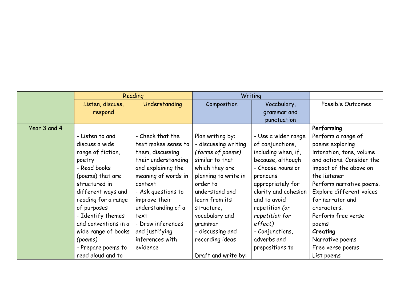|              | Reading              |                     |                      | Writing              |                           |
|--------------|----------------------|---------------------|----------------------|----------------------|---------------------------|
|              | Listen, discuss,     | Understanding       | Composition          | Vocabulary,          | Possible Outcomes         |
|              | respond              |                     |                      | grammar and          |                           |
|              |                      |                     |                      | punctuation          |                           |
| Year 3 and 4 |                      |                     |                      |                      | Performing                |
|              | - Listen to and      | - Check that the    | Plan writing by:     | - Use a wider range  | Perform a range of        |
|              | discuss a wide       | text makes sense to | - discussing writing | of conjunctions,     | poems exploring           |
|              | range of fiction,    | them, discussing    | (forms of poems)     | including when, if,  | intonation, tone, volume  |
|              | poetry               | their understanding | similar to that      | because, although    | and actions. Consider the |
|              | - Read books         | and explaining the  | which they are       | - Choose nouns or    | impact of the above on    |
|              | (poems) that are     | meaning of words in | planning to write in | pronouns             | the listener              |
|              | structured in        | context             | order to             | appropriately for    | Perform narrative poems.  |
|              | different ways and   | - Ask questions to  | understand and       | clarity and cohesion | Explore different voices  |
|              | reading for a range  | improve their       | learn from its       | and to avoid         | for narrator and          |
|              | of purposes          | understanding of a  | structure,           | repetition (or       | characters.               |
|              | - Identify themes    | text                | vocabulary and       | repetition for       | Perform free verse        |
|              | and conventions in a | - Draw inferences   | grammar              | effect)              | poems                     |
|              | wide range of books  | and justifying      | - discussing and     | - Conjunctions,      | Creating                  |
|              | (poems)              | inferences with     | recording ideas      | adverbs and          | Narrative poems           |
|              | - Prepare poems to   | evidence            |                      | prepositions to      | Free verse poems          |
|              | read aloud and to    |                     | Draft and write by:  |                      | List poems                |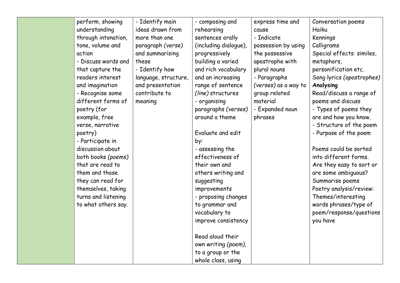| perform, showing    | - Identify main      | - composing and       | express time and     | Conversation poems        |
|---------------------|----------------------|-----------------------|----------------------|---------------------------|
| understanding       | ideas drawn from     | rehearsing            | cause                | Haiku                     |
| through intonation, | more than one        | sentences orally      | - Indicate           | Kennings                  |
| tone, volume and    | paragraph (verse)    | (including dialogue), | possession by using  | Calligrams                |
| action              | and summarising      | progressively         | the possessive       | Special effects: similes, |
| - Discuss words and | these                | building a varied     | apostrophe with      | metaphors,                |
| that capture the    | - Identify how       | and rich vocabulary   | plural nouns         | personification etc.      |
| readers interest    | language, structure, | and an increasing     | - Paragraphs         | Song lyrics (apostrophes) |
| and imagination     | and presentation     | range of sentence     | (verses) as a way to | Analysing                 |
| - Recognise some    | contribute to        | (line) structures     | group related        | Read/discuss a range of   |
| different forms of  | meaning              | - organising          | material             | poems and discuss         |
| poetry (for         |                      | paragraphs (verses)   | - Expanded noun      | - Types of poems they     |
| example, free       |                      | around a theme        | phrases              | are and how you know.     |
| verse, narrative    |                      |                       |                      | - Structure of the poem   |
| poetry)             |                      | Evaluate and edit     |                      | - Purpose of the poem     |
| - Participate in    |                      | by:                   |                      |                           |
| discussion about    |                      | - assessing the       |                      | Poems could be sorted     |
| both books (poems)  |                      | effectiveness of      |                      | into different forms.     |
| that are read to    |                      | their own and         |                      | Are they easy to sort or  |
| them and those      |                      | others writing and    |                      | are some ambiguous?       |
| they can read for   |                      | suggesting            |                      | Summarise poems           |
| themselves, taking  |                      | improvements          |                      | Poetry analysis/review:   |
| turns and listening |                      | - proposing changes   |                      | Themes/interesting        |
| to what others say. |                      | to grammar and        |                      | words phrases/type of     |
|                     |                      | vocabulary to         |                      | poem/response/questions   |
|                     |                      | improve consistency   |                      | you have                  |
|                     |                      |                       |                      |                           |
|                     |                      | Read aloud their      |                      |                           |
|                     |                      | own writing (poem),   |                      |                           |
|                     |                      | to a group or the     |                      |                           |
|                     |                      | whole class, using    |                      |                           |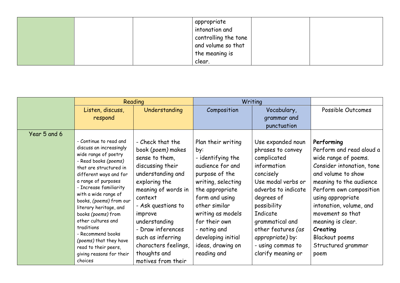|  | appropriate<br>intonation and |  |
|--|-------------------------------|--|
|  | controlling the tone          |  |
|  | and volume so that            |  |
|  | the meaning is                |  |
|  | clear.                        |  |

|              | Reading                                                                                                                                                                                                                                                                                                                                                                                                                                                     |                                                                                                                                                                                                                                                                                                               | Writing                                                                                                                                                                                                                                                                          |                                                                                                                                                                                                                                                                                 |                                                                                                                                                                                                                                                                                                                              |
|--------------|-------------------------------------------------------------------------------------------------------------------------------------------------------------------------------------------------------------------------------------------------------------------------------------------------------------------------------------------------------------------------------------------------------------------------------------------------------------|---------------------------------------------------------------------------------------------------------------------------------------------------------------------------------------------------------------------------------------------------------------------------------------------------------------|----------------------------------------------------------------------------------------------------------------------------------------------------------------------------------------------------------------------------------------------------------------------------------|---------------------------------------------------------------------------------------------------------------------------------------------------------------------------------------------------------------------------------------------------------------------------------|------------------------------------------------------------------------------------------------------------------------------------------------------------------------------------------------------------------------------------------------------------------------------------------------------------------------------|
|              | Listen, discuss,                                                                                                                                                                                                                                                                                                                                                                                                                                            | Understanding                                                                                                                                                                                                                                                                                                 | Composition                                                                                                                                                                                                                                                                      | Vocabulary,                                                                                                                                                                                                                                                                     | Possible Outcomes                                                                                                                                                                                                                                                                                                            |
|              | respond                                                                                                                                                                                                                                                                                                                                                                                                                                                     |                                                                                                                                                                                                                                                                                                               |                                                                                                                                                                                                                                                                                  | grammar and                                                                                                                                                                                                                                                                     |                                                                                                                                                                                                                                                                                                                              |
|              |                                                                                                                                                                                                                                                                                                                                                                                                                                                             |                                                                                                                                                                                                                                                                                                               |                                                                                                                                                                                                                                                                                  | punctuation                                                                                                                                                                                                                                                                     |                                                                                                                                                                                                                                                                                                                              |
| Year 5 and 6 |                                                                                                                                                                                                                                                                                                                                                                                                                                                             |                                                                                                                                                                                                                                                                                                               |                                                                                                                                                                                                                                                                                  |                                                                                                                                                                                                                                                                                 |                                                                                                                                                                                                                                                                                                                              |
|              | - Continue to read and<br>discuss an increasingly<br>wide range of poetry<br>- Read books (poems)<br>that are structured in<br>different ways and for<br>a range of purposes<br>- Increase familiarity<br>with a wide range of<br>books, (poems) from our<br>literary heritage, and<br>books (poems) from<br>other cultures and<br>traditions<br>- Recommend books<br>(poems) that they have<br>read to their peers,<br>giving reasons for their<br>choices | - Check that the<br>book (poem) makes<br>sense to them,<br>discussing their<br>understanding and<br>exploring the<br>meaning of words in<br>context<br>- Ask questions to<br>improve<br>understanding<br>- Draw inferences<br>such as inferring<br>characters feelings,<br>thoughts and<br>motives from their | Plan their writing<br>by:<br>- identifying the<br>audience for and<br>purpose of the<br>writing, selecting<br>the appropriate<br>form and using<br>other similar<br>writing as models<br>for their own<br>- noting and<br>developing initial<br>ideas, drawing on<br>reading and | Use expanded noun<br>phrases to convey<br>complicated<br>information<br>concisely<br>Use modal verbs or<br>adverbs to indicate<br>degrees of<br>possibility<br>Indicate<br>grammatical and<br>other features (as<br>appropriate) by:<br>- using commas to<br>clarify meaning or | Performing<br>Perform and read aloud a<br>wide range of poems.<br>Consider intonation, tone<br>and volume to show<br>meaning to the audience<br>Perform own composition<br>using appropriate<br>intonation, volume, and<br>movement so that<br>meaning is clear.<br>Creating<br>Blackout poems<br>Structured grammar<br>poem |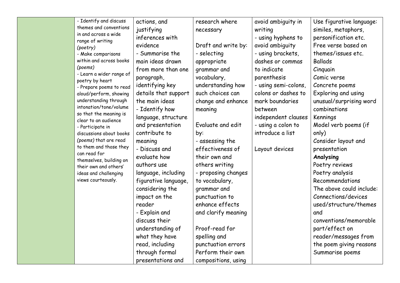| - Identify and discuss                         | actions, and         | research where      | avoid ambiguity in   | Use figurative language: |
|------------------------------------------------|----------------------|---------------------|----------------------|--------------------------|
| themes and conventions                         | justifying           | necessary           | writing              | similes, metaphors,      |
| in and across a wide<br>range of writing       | inferences with      |                     | - using hyphens to   | personification etc.     |
| (poetry)                                       | evidence             | Draft and write by: | avoid ambiguity      | Free verse based on      |
| - Make comparisons                             | - Summarise the      | - selecting         | - using brackets,    | themes/issues etc.       |
| within and across books                        | main ideas drawn     | appropriate         | dashes or commas     | <b>Ballads</b>           |
| (poems)                                        | from more than one   | grammar and         | to indicate          | Cinquain                 |
| - Learn a wider range of<br>poetry by heart    | paragraph,           | vocabulary,         | parenthesis          | Comic verse              |
| - Prepare poems to read                        | identifying key      | understanding how   | - using semi-colons, | Concrete poems           |
| aloud/perform, showing                         | details that support | such choices can    | colons or dashes to  | Exploring and using      |
| understanding through                          | the main ideas       | change and enhance  | mark boundaries      | unusual/surprising word  |
| intonation/tone/volume                         | - Identify how       | meaning             | between              | combinations             |
| so that the meaning is<br>clear to an audience | language, structure  |                     | independent clauses  | Kennings                 |
| - Participate in                               | and presentation     | Evaluate and edit   | - using a colon to   | Model verb poems (if     |
| discussions about books                        | contribute to        | by:                 | introduce a list     | only)                    |
| (poems) that are read                          | meaning              | - assessing the     |                      | Consider layout and      |
| to them and those they                         | - Discuss and        | effectiveness of    | Layout devices       | presentation             |
| can read for<br>themselves, building on        | evaluate how         | their own and       |                      | Analysing                |
| their own and others'                          | authors use          | others writing      |                      | Poetry reviews           |
| ideas and challenging                          | language, including  | - proposing changes |                      | Poetry analysis          |
| views courteously.                             | figurative language, | to vocabulary,      |                      | Recommendations          |
|                                                | considering the      | grammar and         |                      | The above could include: |
|                                                | impact on the        | punctuation to      |                      | Connections/devices      |
|                                                | reader               | enhance effects     |                      | used/structure/themes    |
|                                                | - Explain and        | and clarify meaning |                      | and                      |
|                                                | discuss their        |                     |                      | conventions/memorable    |
|                                                | understanding of     | Proof-read for      |                      | part/effect on           |
|                                                | what they have       | spelling and        |                      | reader/messages from     |
|                                                | read, including      | punctuation errors  |                      | the poem giving reasons  |
|                                                | through formal       | Perform their own   |                      | Summarise poems          |
|                                                | presentations and    | compositions, using |                      |                          |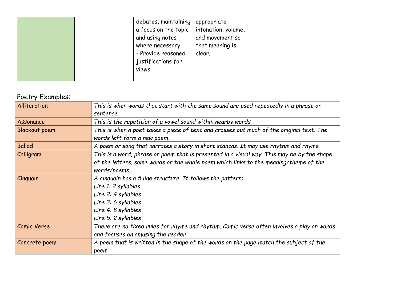| debates, maintaining   appropriate<br>and using notes<br>where necessary<br>- Provide reasoned<br>justifications for<br>views. | a focus on the topic $ $ intonation, volume,<br>and movement so<br>that meaning is<br>clear. |
|--------------------------------------------------------------------------------------------------------------------------------|----------------------------------------------------------------------------------------------|
|--------------------------------------------------------------------------------------------------------------------------------|----------------------------------------------------------------------------------------------|

## Poetry Examples:

| Alliteration         | This is when words that start with the same sound are used repeatedly in a phrase or                                                                                                               |
|----------------------|----------------------------------------------------------------------------------------------------------------------------------------------------------------------------------------------------|
|                      | sentence                                                                                                                                                                                           |
| Assonance            | This is the repetition of a vowel sound within nearby words                                                                                                                                        |
| <b>Blackout poem</b> | This is when a poet takes a piece of text and crosses out much of the original text. The<br>words left form a new poem.                                                                            |
| <b>Ballad</b>        | A poem or song that narrates a story in short stanzas. It may use rhythm and rhyme                                                                                                                 |
| Calligram            | This is a word, phrase or poem that is presented in a visual way. This may be by the shape<br>of the letters, some words or the whole poem which links to the meaning/theme of the<br>words/poems. |
| Cinquain             | A cinquain has a 5 line structure. It follows the pattern:<br>Line 1: 2 syllables<br>Line 2: 4 syllables<br>Line 3: 6 syllables<br>Line 4: 8 syllables<br>Line 5: 2 syllables                      |
| <b>Comic Verse</b>   | There are no fixed rules for rhyme and rhythm. Comic verse often involves a play on words<br>and focuses on amusing the reader                                                                     |
| Concrete poem        | A poem that is written in the shape of the words on the page match the subject of the<br>poem                                                                                                      |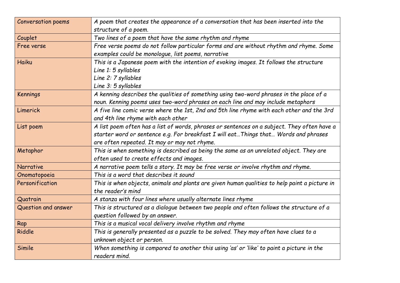| <b>Conversation poems</b> | A poem that creates the appearance of a conversation that has been inserted into the          |
|---------------------------|-----------------------------------------------------------------------------------------------|
|                           | structure of a poem.                                                                          |
| Couplet                   | Two lines of a poem that have the same rhythm and rhyme                                       |
| Free verse                | Free verse poems do not follow particular forms and are without rhythm and rhyme. Some        |
|                           | examples could be monologue, list poems, narrative                                            |
| <b>Haiku</b>              | This is a Japanese poem with the intention of evoking images. It follows the structure        |
|                           | Line 1: 5 syllables                                                                           |
|                           | Line 2: 7 syllables                                                                           |
|                           | Line 3: 5 syllables                                                                           |
| Kennings                  | A kenning describes the qualities of something using two-word phrases in the place of a       |
|                           | noun. Kenning poems uses two-word phrases on each line and may include metaphors              |
| Limerick                  | A five line comic verse where the 1st, 2nd and 5th line rhyme with each other and the 3rd     |
|                           | and 4th line rhyme with each other                                                            |
| List poem                 | A list poem often has a list of words, phrases or sentences on a subject. They often have a   |
|                           | starter word or sentence e.g. For breakfast I will eat Things that Words and phrases          |
|                           | are often repeated. It may or may not rhyme.                                                  |
| Metaphor                  | This is when something is described as being the same as an unrelated object. They are        |
|                           | often used to create effects and images.                                                      |
| Narrative                 | A narrative poem tells a story. It may be free verse or involve rhythm and rhyme.             |
| Onomatopoeia              | This is a word that describes it sound                                                        |
| Personification           | This is when objects, animals and plants are given human qualities to help paint a picture in |
|                           | the reader's mind                                                                             |
| Quatrain                  | A stanza with four lines where usually alternate lines rhyme                                  |
| Question and answer       | This is structured as a dialogue between two people and often follows the structure of a      |
|                           | question followed by an answer.                                                               |
| Rap                       | This is a musical vocal delivery involve rhythm and rhyme                                     |
| Riddle                    | This is generally presented as a puzzle to be solved. They may often have clues to a          |
|                           | unknown object or person.                                                                     |
| Simile                    | When something is compared to another this using 'as' or 'like' to paint a picture in the     |
|                           | readers mind.                                                                                 |